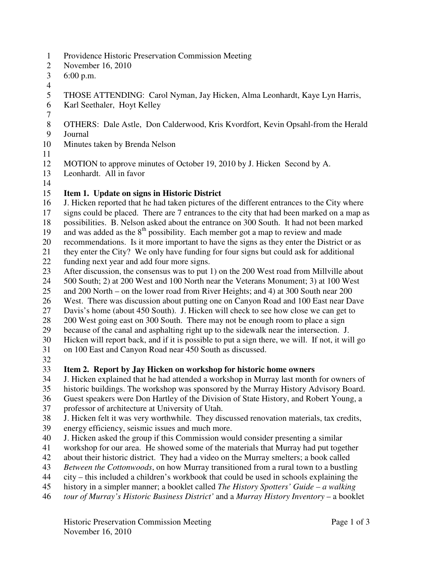- 1 Providence Historic Preservation Commission Meeting
- 2 November 16, 2010
- 3 6:00 p.m.
- 4

7

- 5 THOSE ATTENDING: Carol Nyman, Jay Hicken, Alma Leonhardt, Kaye Lyn Harris,
- 6 Karl Seethaler, Hoyt Kelley
- 8 OTHERS: Dale Astle, Don Calderwood, Kris Kvordfort, Kevin Opsahl-from the Herald
- 9 Journal
- 10 Minutes taken by Brenda Nelson
- 11
- 12 MOTION to approve minutes of October 19, 2010 by J. Hicken Second by A.
- 13 Leonhardt. All in favor
- 14

## 15 **Item 1. Update on signs in Historic District**

16 J. Hicken reported that he had taken pictures of the different entrances to the City where

- 17 signs could be placed. There are 7 entrances to the city that had been marked on a map as
- 18 possibilities. B. Nelson asked about the entrance on 300 South. It had not been marked
- 19 and was added as the  $8<sup>th</sup>$  possibility. Each member got a map to review and made
- 20 recommendations. Is it more important to have the signs as they enter the District or as
- 21 they enter the City? We only have funding for four signs but could ask for additional
- 22 funding next year and add four more signs.
- 23 After discussion, the consensus was to put 1) on the 200 West road from Millville about
- 24 500 South; 2) at 200 West and 100 North near the Veterans Monument; 3) at 100 West
- 25 and 200 North on the lower road from River Heights; and 4) at 300 South near 200
- 26 West. There was discussion about putting one on Canyon Road and 100 East near Dave
- 27 Davis's home (about 450 South). J. Hicken will check to see how close we can get to
- 28 200 West going east on 300 South. There may not be enough room to place a sign
- 29 because of the canal and asphalting right up to the sidewalk near the intersection. J.
- 30 Hicken will report back, and if it is possible to put a sign there, we will. If not, it will go
- 31 on 100 East and Canyon Road near 450 South as discussed.
- 32

# 33 **Item 2. Report by Jay Hicken on workshop for historic home owners**

- 34 J. Hicken explained that he had attended a workshop in Murray last month for owners of
- 35 historic buildings. The workshop was sponsored by the Murray History Advisory Board.
- 36 Guest speakers were Don Hartley of the Division of State History, and Robert Young, a
- 37 professor of architecture at University of Utah.
- 38 J. Hicken felt it was very worthwhile. They discussed renovation materials, tax credits, 39 energy efficiency, seismic issues and much more.
- 40 J. Hicken asked the group if this Commission would consider presenting a similar
- 41 workshop for our area. He showed some of the materials that Murray had put together
- 42 about their historic district. They had a video on the Murray smelters; a book called
- 43 *Between the Cottonwoods*, on how Murray transitioned from a rural town to a bustling
- 44 city this included a children's workbook that could be used in schools explaining the
- 45 history in a simpler manner; a booklet called *The History Spotters' Guide a walking*
- 46 *tour of Murray's Historic Business District'* and a *Murray History Inventory* a booklet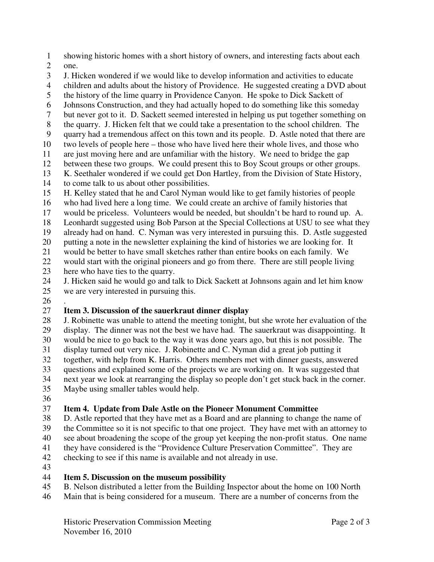- 1 showing historic homes with a short history of owners, and interesting facts about each
- 2 one.
- 3 J. Hicken wondered if we would like to develop information and activities to educate
- 4 children and adults about the history of Providence. He suggested creating a DVD about
- 5 the history of the lime quarry in Providence Canyon. He spoke to Dick Sackett of
- 6 Johnsons Construction, and they had actually hoped to do something like this someday
- 7 but never got to it. D. Sackett seemed interested in helping us put together something on
- 8 the quarry. J. Hicken felt that we could take a presentation to the school children. The
- 9 quarry had a tremendous affect on this town and its people. D. Astle noted that there are
- 10 two levels of people here those who have lived here their whole lives, and those who
- 11 are just moving here and are unfamiliar with the history. We need to bridge the gap
- 12 between these two groups. We could present this to Boy Scout groups or other groups.
- 13 K. Seethaler wondered if we could get Don Hartley, from the Division of State History,
- 14 to come talk to us about other possibilities.
- 15 H. Kelley stated that he and Carol Nyman would like to get family histories of people
- 16 who had lived here a long time. We could create an archive of family histories that
- 17 would be priceless. Volunteers would be needed, but shouldn't be hard to round up. A.
- 18 Leonhardt suggested using Bob Parson at the Special Collections at USU to see what they
- 19 already had on hand. C. Nyman was very interested in pursuing this. D. Astle suggested
- 20 putting a note in the newsletter explaining the kind of histories we are looking for. It
- 21 would be better to have small sketches rather than entire books on each family. We
- 22 would start with the original pioneers and go from there. There are still people living
- 23 here who have ties to the quarry.<br>24 J. Hicken said he would go and ta
- J. Hicken said he would go and talk to Dick Sackett at Johnsons again and let him know 25 we are very interested in pursuing this.
- 26 .

# 27 **Item 3. Discussion of the sauerkraut dinner display**

- 28 J. Robinette was unable to attend the meeting tonight, but she wrote her evaluation of the 29 display. The dinner was not the best we have had. The sauerkraut was disappointing. It 30 would be nice to go back to the way it was done years ago, but this is not possible. The 31 display turned out very nice. J. Robinette and C. Nyman did a great job putting it together, with help from K. Harris. Others members met with dinner guests, answered 33 questions and explained some of the projects we are working on. It was suggested that 34 next year we look at rearranging the display so people don't get stuck back in the corner.
- 35 Maybe using smaller tables would help.
- 36

### 37 **Item 4. Update from Dale Astle on the Pioneer Monument Committee**

- 38 D. Astle reported that they have met as a Board and are planning to change the name of 39 the Committee so it is not specific to that one project. They have met with an attorney to 40 see about broadening the scope of the group yet keeping the non-profit status. One name 41 they have considered is the "Providence Culture Preservation Committee". They are
- 42 checking to see if this name is available and not already in use.
- 43

### 44 **Item 5. Discussion on the museum possibility**

- 45 B. Nelson distributed a letter from the Building Inspector about the home on 100 North
- 46 Main that is being considered for a museum. There are a number of concerns from the